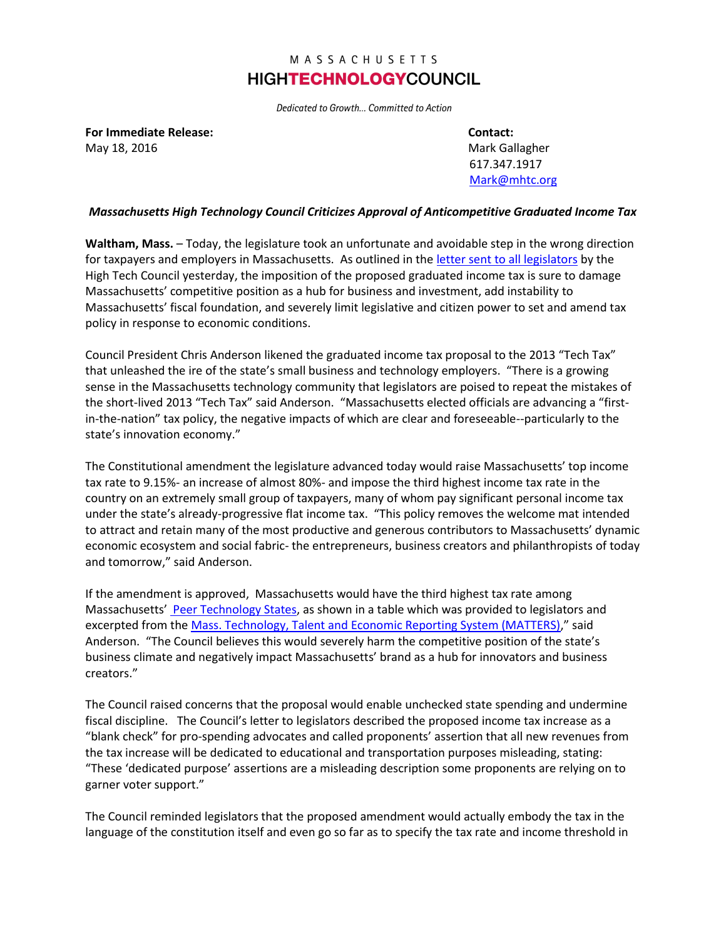## MASSACHUSETTS **HIGHTECHNOLOGYCOUNCIL**

Dedicated to Growth... Committed to Action

**For Immediate Release: Contact:** May 18, 2016 Mark Gallagher Mark Gallagher Mark Gallagher Mark Gallagher Mark Gallagher

617.347.1917 [Mark@mhtc.org](mailto:Mark@mhtc.org)

## *Massachusetts High Technology Council Criticizes Approval of Anticompetitive Graduated Income Tax*

**Waltham, Mass.** – Today, the legislature took an unfortunate and avoidable step in the wrong direction for taxpayers and employers in Massachusetts. As outlined in the [letter sent to all legislators](http://www.mhtc.org/wp-content/uploads/2016/05/MHTC_Letter-to-Senate-re-Graduated-Income-Tax-5.17.16-FINAL-PDF.pdf) by the High Tech Council yesterday, the imposition of the proposed graduated income tax is sure to damage Massachusetts' competitive position as a hub for business and investment, add instability to Massachusetts' fiscal foundation, and severely limit legislative and citizen power to set and amend tax policy in response to economic conditions.

Council President Chris Anderson likened the graduated income tax proposal to the 2013 "Tech Tax" that unleashed the ire of the state's small business and technology employers. "There is a growing sense in the Massachusetts technology community that legislators are poised to repeat the mistakes of the short-lived 2013 "Tech Tax" said Anderson. "Massachusetts elected officials are advancing a "firstin-the-nation" tax policy, the negative impacts of which are clear and foreseeable--particularly to the state's innovation economy."

The Constitutional amendment the legislature advanced today would raise Massachusetts' top income tax rate to 9.15%- an increase of almost 80%- and impose the third highest income tax rate in the country on an extremely small group of taxpayers, many of whom pay significant personal income tax under the state's already-progressive flat income tax. "This policy removes the welcome mat intended to attract and retain many of the most productive and generous contributors to Massachusetts' dynamic economic ecosystem and social fabric- the entrepreneurs, business creators and philanthropists of today and tomorrow," said Anderson.

If the amendment is approved, Massachusetts would have the third highest tax rate among Massachusetts' [Peer Technology States,](http://matters.mhtc.org/about) as shown in a table which was provided to legislators and excerpted from the [Mass. Technology, Talent and Economic Reporting System \(MATTERS\)](http://matters.mhtc.org/about)," said Anderson. "The Council believes this would severely harm the competitive position of the state's business climate and negatively impact Massachusetts' brand as a hub for innovators and business creators."

The Council raised concerns that the proposal would enable unchecked state spending and undermine fiscal discipline. The Council's letter to legislators described the proposed income tax increase as a "blank check" for pro-spending advocates and called proponents' assertion that all new revenues from the tax increase will be dedicated to educational and transportation purposes misleading, stating: "These 'dedicated purpose' assertions are a misleading description some proponents are relying on to garner voter support."

The Council reminded legislators that the proposed amendment would actually embody the tax in the language of the constitution itself and even go so far as to specify the tax rate and income threshold in